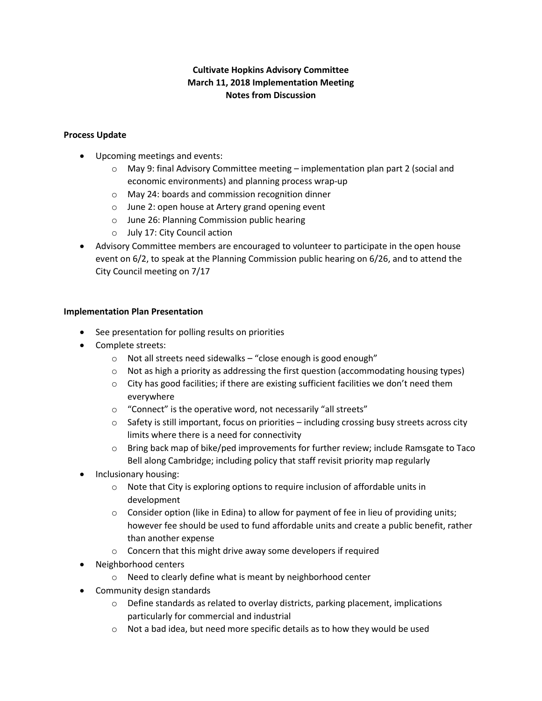# **Cultivate Hopkins Advisory Committee March 11, 2018 Implementation Meeting Notes from Discussion**

## **Process Update**

- Upcoming meetings and events:
	- o May 9: final Advisory Committee meeting implementation plan part 2 (social and economic environments) and planning process wrap-up
	- o May 24: boards and commission recognition dinner
	- o June 2: open house at Artery grand opening event
	- o June 26: Planning Commission public hearing
	- o July 17: City Council action
- Advisory Committee members are encouraged to volunteer to participate in the open house event on 6/2, to speak at the Planning Commission public hearing on 6/26, and to attend the City Council meeting on 7/17

#### **Implementation Plan Presentation**

- See presentation for polling results on priorities
- Complete streets:
	- o Not all streets need sidewalks "close enough is good enough"
	- $\circ$  Not as high a priority as addressing the first question (accommodating housing types)
	- $\circ$  City has good facilities; if there are existing sufficient facilities we don't need them everywhere
	- o "Connect" is the operative word, not necessarily "all streets"
	- $\circ$  Safety is still important, focus on priorities including crossing busy streets across city limits where there is a need for connectivity
	- $\circ$  Bring back map of bike/ped improvements for further review; include Ramsgate to Taco Bell along Cambridge; including policy that staff revisit priority map regularly
- Inclusionary housing:
	- o Note that City is exploring options to require inclusion of affordable units in development
	- $\circ$  Consider option (like in Edina) to allow for payment of fee in lieu of providing units; however fee should be used to fund affordable units and create a public benefit, rather than another expense
	- o Concern that this might drive away some developers if required
- Neighborhood centers
	- o Need to clearly define what is meant by neighborhood center
- Community design standards
	- o Define standards as related to overlay districts, parking placement, implications particularly for commercial and industrial
	- $\circ$  Not a bad idea, but need more specific details as to how they would be used